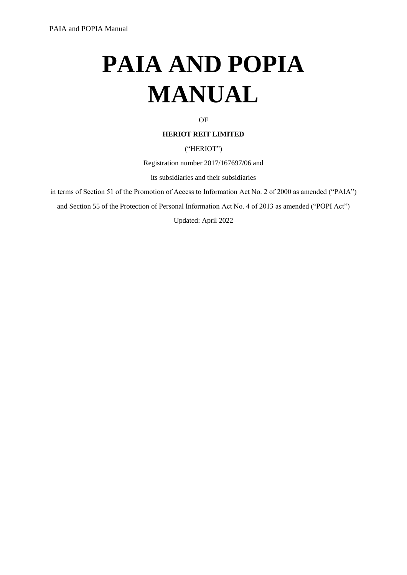# **PAIA AND POPIA MANUAL**

#### OF

#### **HERIOT REIT LIMITED**

#### ("HERIOT")

Registration number 2017/167697/06 and

its subsidiaries and their subsidiaries

in terms of Section 51 of the Promotion of Access to Information Act No. 2 of 2000 as amended ("PAIA")

and Section 55 of the Protection of Personal Information Act No. 4 of 2013 as amended ("POPI Act")

Updated: April 2022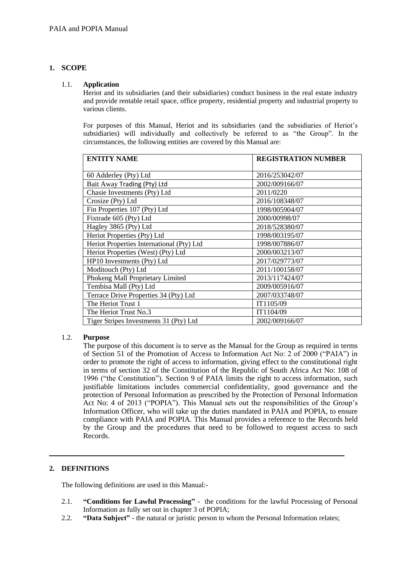#### **1. SCOPE**

#### <span id="page-1-0"></span>1.1. **Application**

Heriot and its subsidiaries (and their subsidiaries) conduct business in the real estate industry and provide rentable retail space, office property, residential property and industrial property to various clients.

For purposes of this Manual, Heriot and its subsidiaries (and the subsidiaries of Heriot's subsidiaries) will individually and collectively be referred to as "the Group". In the circumstances, the following entities are covered by this Manual are:

| <b>ENTITY NAME</b>                        | <b>REGISTRATION NUMBER</b> |
|-------------------------------------------|----------------------------|
| 60 Adderley (Pty) Ltd                     | 2016/253042/07             |
| Bait Away Trading (Pty) Ltd               | 2002/009166/07             |
| Chasie Investments (Pty) Ltd              | 2011/0220                  |
| Crosize (Pty) Ltd                         | 2016/108348/07             |
| Fin Properties 107 (Pty) Ltd              | 1998/005904/07             |
| Fixtrade 605 (Pty) Ltd                    | 2000/00998/07              |
| Hagley 3865 (Pty) Ltd                     | 2018/528380/07             |
| Heriot Properties (Pty) Ltd               | 1998/003195/07             |
| Heriot Properties International (Pty) Ltd | 1998/007886/07             |
| Heriot Properties (West) (Pty) Ltd        | 2000/003213/07             |
| HP10 Investments (Pty) Ltd                | 2017/029773/07             |
| Moditouch (Pty) Ltd                       | 2011/100158/07             |
| Phokeng Mall Proprietary Limited          | 2013/117424/07             |
| Tembisa Mall (Pty) Ltd                    | 2009/005916/07             |
| Terrace Drive Properties 34 (Pty) Ltd     | 2007/033748/07             |
| The Heriot Trust 1                        | IT1105/09                  |
| The Heriot Trust No.3                     | IT1104/09                  |
| Tiger Stripes Investments 31 (Pty) Ltd    | 2002/009166/07             |

#### 1.2. **Purpose**

The purpose of this document is to serve as the Manual for the Group as required in terms of Section 51 of the Promotion of Access to Information Act No: 2 of 2000 ("PAIA") in order to promote the right of access to information, giving effect to the constitutional right in terms of section 32 of the Constitution of the Republic of South Africa Act No: 108 of 1996 ("the Constitution"). Section 9 of PAIA limits the right to access information, such justifiable limitations includes commercial confidentiality, good governance and the protection of Personal Information as prescribed by the Protection of Personal Information Act No: 4 of 2013 ("POPIA"). This Manual sets out the responsibilities of the Group's Information Officer, who will take up the duties mandated in PAIA and POPIA, to ensure compliance with PAIA and POPIA. This Manual provides a reference to the Records held by the Group and the procedures that need to be followed to request access to such Records.

#### **2. DEFINITIONS**

The following definitions are used in this Manual:-

- 2.1. **"Conditions for Lawful Processing"** the conditions for the lawful Processing of Personal Information as fully set out in chapter 3 of POPIA;
- 2.2. **"Data Subject"**  the natural or juristic person to whom the Personal Information relates;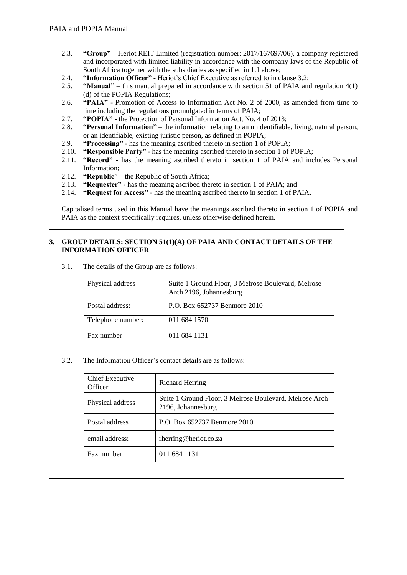- 2.3. **"Group" –** Heriot REIT Limited (registration number: 2017/167697/06), a company registered and incorporated with limited liability in accordance with the company laws of the Republic of South Africa together with the subsidiaries as specified in [1.1](#page-1-0) above;
- 2.4. **"Information Officer"**  Heriot's Chief Executive as referred to in claus[e 3.2;](#page-2-0)
- 2.5. **"Manual"** this manual prepared in accordance with section 51 of PAIA and regulation 4(1) (d) of the POPIA Regulations;
- 2.6. **"PAIA"**  Promotion of Access to Information Act No. 2 of 2000, as amended from time to time including the regulations promulgated in terms of PAIA;
- 2.7. **"POPIA"**  the Protection of Personal Information Act, No. 4 of 2013;
- 2.8. **"Personal Information"** the information relating to an unidentifiable, living, natural person, or an identifiable, existing juristic person, as defined in POPIA;
- 2.9. **"Processing"**  has the meaning ascribed thereto in section 1 of POPIA;
- 2.10. **"Responsible Party"**  has the meaning ascribed thereto in section 1 of POPIA;
- 2.11. **"Record"**  has the meaning ascribed thereto in section 1 of PAIA and includes Personal Information;
- 2.12. **"Republic**" the Republic of South Africa;
- 2.13. **"Requester"**  has the meaning ascribed thereto in section 1 of PAIA; and
- 2.14. **"Request for Access"**  has the meaning ascribed thereto in section 1 of PAIA.

Capitalised terms used in this Manual have the meanings ascribed thereto in section 1 of POPIA and PAIA as the context specifically requires, unless otherwise defined herein.

#### <span id="page-2-1"></span>**3. GROUP DETAILS: SECTION 51(1)(A) OF PAIA AND CONTACT DETAILS OF THE INFORMATION OFFICER**

3.1. The details of the Group are as follows:

| Physical address  | Suite 1 Ground Floor, 3 Melrose Boulevard, Melrose<br>Arch 2196, Johannesburg |
|-------------------|-------------------------------------------------------------------------------|
| Postal address:   | P.O. Box 652737 Benmore 2010                                                  |
| Telephone number: | 011 684 1570                                                                  |
| Fax number        | 011 684 1131                                                                  |

<span id="page-2-0"></span>3.2. The Information Officer's contact details are as follows:

| <b>Chief Executive</b><br>Officer | <b>Richard Herring</b>                                                        |
|-----------------------------------|-------------------------------------------------------------------------------|
| Physical address                  | Suite 1 Ground Floor, 3 Melrose Boulevard, Melrose Arch<br>2196, Johannesburg |
| Postal address                    | P.O. Box 652737 Benmore 2010                                                  |
| email address:                    | rherring@heriot.co.za                                                         |
| Fax number                        | 011 684 1131                                                                  |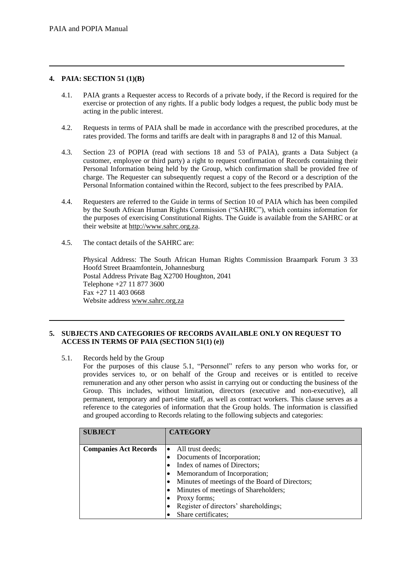#### **4. PAIA: SECTION 51 (1)(B)**

- 4.1. PAIA grants a Requester access to Records of a private body, if the Record is required for the exercise or protection of any rights. If a public body lodges a request, the public body must be acting in the public interest.
- 4.2. Requests in terms of PAIA shall be made in accordance with the prescribed procedures, at the rates provided. The forms and tariffs are dealt with in paragraph[s 8](#page-6-0) and [12](#page-9-0) of this Manual.
- 4.3. Section 23 of POPIA (read with sections 18 and 53 of PAIA), grants a Data Subject (a customer, employee or third party) a right to request confirmation of Records containing their Personal Information being held by the Group, which confirmation shall be provided free of charge. The Requester can subsequently request a copy of the Record or a description of the Personal Information contained within the Record, subject to the fees prescribed by PAIA.
- 4.4. Requesters are referred to the Guide in terms of Section 10 of PAIA which has been compiled by the South African Human Rights Commission ("SAHRC"), which contains information for the purposes of exercising Constitutional Rights. The Guide is available from the SAHRC or at their website at [http://www.sahrc.org.za.](http://www.sahrc.org.za/)
- 4.5. The contact details of the SAHRC are:

Physical Address: The South African Human Rights Commission Braampark Forum 3 33 Hoofd Street Braamfontein, Johannesburg Postal Address Private Bag X2700 Houghton, 2041 Telephone +27 11 877 3600 Fax +27 11 403 0668 Website address [www.sahrc.org.za](http://www.sahrc.org.za/)

#### **5. SUBJECTS AND CATEGORIES OF RECORDS AVAILABLE ONLY ON REQUEST TO ACCESS IN TERMS OF PAIA (SECTION 51(1) (e))**

<span id="page-3-0"></span>5.1. Records held by the Group

For the purposes of this clause [5.1,](#page-3-0) "Personnel" refers to any person who works for, or provides services to, or on behalf of the Group and receives or is entitled to receive remuneration and any other person who assist in carrying out or conducting the business of the Group. This includes, without limitation, directors (executive and non-executive), all permanent, temporary and part-time staff, as well as contract workers. This clause serves as a reference to the categories of information that the Group holds. The information is classified and grouped according to Records relating to the following subjects and categories:

| <b>SUBJECT</b>               | <b>CATEGORY</b>                                |
|------------------------------|------------------------------------------------|
| <b>Companies Act Records</b> | $\bullet$ All trust deeds;                     |
|                              | Documents of Incorporation;                    |
|                              | Index of names of Directors;                   |
|                              | Memorandum of Incorporation;                   |
|                              | Minutes of meetings of the Board of Directors; |
|                              | Minutes of meetings of Shareholders;           |
|                              | Proxy forms;                                   |
|                              | Register of directors' shareholdings;          |
|                              | Share certificates;                            |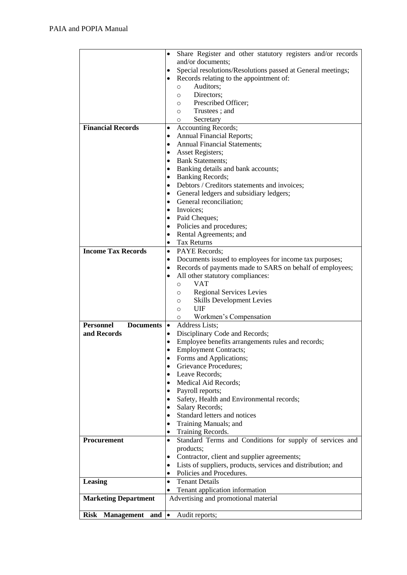|                                      | Share Register and other statutory registers and/or records<br>$\bullet$  |
|--------------------------------------|---------------------------------------------------------------------------|
|                                      | and/or documents;                                                         |
|                                      | Special resolutions/Resolutions passed at General meetings;<br>٠          |
|                                      | Records relating to the appointment of:                                   |
|                                      | Auditors:<br>$\circ$                                                      |
|                                      | Directors;<br>O                                                           |
|                                      | Prescribed Officer;<br>O                                                  |
|                                      | Trustees; and<br>O                                                        |
|                                      | Secretary<br>O                                                            |
| <b>Financial Records</b>             | <b>Accounting Records;</b>                                                |
|                                      | <b>Annual Financial Reports;</b><br>٠                                     |
|                                      | <b>Annual Financial Statements;</b>                                       |
|                                      | Asset Registers;                                                          |
|                                      | <b>Bank Statements;</b><br>٠                                              |
|                                      | Banking details and bank accounts;<br>٠                                   |
|                                      | <b>Banking Records;</b><br>٠                                              |
|                                      | Debtors / Creditors statements and invoices;<br>٠                         |
|                                      | General ledgers and subsidiary ledgers;<br>٠                              |
|                                      | General reconciliation;<br>٠                                              |
|                                      | Invoices;<br>٠                                                            |
|                                      | Paid Cheques;<br>٠                                                        |
|                                      | Policies and procedures;<br>٠                                             |
|                                      | Rental Agreements; and                                                    |
|                                      | <b>Tax Returns</b>                                                        |
| <b>Income Tax Records</b>            | PAYE Records;<br>$\bullet$                                                |
|                                      | Documents issued to employees for income tax purposes;<br>٠               |
|                                      | Records of payments made to SARS on behalf of employees;<br>٠             |
|                                      | All other statutory compliances:                                          |
|                                      | <b>VAT</b><br>$\circ$                                                     |
|                                      | <b>Regional Services Levies</b><br>$\circ$                                |
|                                      | <b>Skills Development Levies</b><br>O                                     |
|                                      | UIF<br>$\circ$                                                            |
|                                      | Workmen's Compensation<br>O                                               |
| <b>Personnel</b><br><b>Documents</b> | Address Lists;<br>$\bullet$                                               |
| and Records                          | Disciplinary Code and Records;<br>$\bullet$                               |
|                                      | Employee benefits arrangements rules and records;<br>$\bullet$            |
|                                      | <b>Employment Contracts;</b><br>$\bullet$                                 |
|                                      | Forms and Applications;<br>$\bullet$                                      |
|                                      | Grievance Procedures;<br>$\bullet$                                        |
|                                      | Leave Records;<br>$\bullet$                                               |
|                                      | Medical Aid Records;<br>$\bullet$                                         |
|                                      | Payroll reports;<br>$\bullet$                                             |
|                                      | Safety, Health and Environmental records;<br>$\bullet$                    |
|                                      | Salary Records;<br>$\bullet$                                              |
|                                      | Standard letters and notices<br>$\bullet$                                 |
|                                      | Training Manuals; and<br>$\bullet$                                        |
|                                      | Training Records.<br>$\bullet$                                            |
| Procurement                          | Standard Terms and Conditions for supply of services and<br>$\bullet$     |
|                                      | products;                                                                 |
|                                      | Contractor, client and supplier agreements;<br>$\bullet$                  |
|                                      | Lists of suppliers, products, services and distribution; and<br>$\bullet$ |
|                                      | Policies and Procedures.<br>$\bullet$                                     |
| Leasing                              | <b>Tenant Details</b><br>$\bullet$                                        |
|                                      | Tenant application information<br>$\bullet$                               |
| <b>Marketing Department</b>          | Advertising and promotional material                                      |
|                                      | $\bullet$                                                                 |
| <b>Risk Management</b><br>and        | Audit reports;                                                            |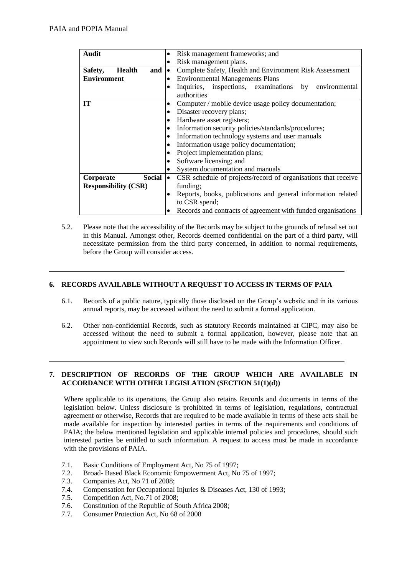| <b>Audit</b>                    | Risk management frameworks; and                                            |  |  |  |  |  |
|---------------------------------|----------------------------------------------------------------------------|--|--|--|--|--|
|                                 | Risk management plans.<br>$\bullet$                                        |  |  |  |  |  |
| Safety,<br>and<br><b>Health</b> | Complete Safety, Health and Environment Risk Assessment<br>$\bullet$       |  |  |  |  |  |
| <b>Environment</b>              | <b>Environmental Managements Plans</b><br>٠                                |  |  |  |  |  |
|                                 | Inquiries, inspections, examinations<br>by environmental<br>$\bullet$      |  |  |  |  |  |
|                                 | authorities                                                                |  |  |  |  |  |
| <b>IT</b>                       | Computer / mobile device usage policy documentation;<br>$\bullet$          |  |  |  |  |  |
|                                 | Disaster recovery plans;<br>$\bullet$                                      |  |  |  |  |  |
|                                 | Hardware asset registers;                                                  |  |  |  |  |  |
|                                 | Information security policies/standards/procedures;                        |  |  |  |  |  |
|                                 | Information technology systems and user manuals                            |  |  |  |  |  |
|                                 | Information usage policy documentation;                                    |  |  |  |  |  |
|                                 | Project implementation plans;                                              |  |  |  |  |  |
|                                 | Software licensing; and                                                    |  |  |  |  |  |
|                                 | System documentation and manuals                                           |  |  |  |  |  |
| <b>Social</b><br>Corporate      | CSR schedule of projects/record of organisations that receive<br>$\bullet$ |  |  |  |  |  |
| <b>Responsibility (CSR)</b>     | funding;                                                                   |  |  |  |  |  |
|                                 | Reports, books, publications and general information related               |  |  |  |  |  |
|                                 | to CSR spend;                                                              |  |  |  |  |  |
|                                 | Records and contracts of agreement with funded organisations               |  |  |  |  |  |

5.2. Please note that the accessibility of the Records may be subject to the grounds of refusal set out in this Manual. Amongst other, Records deemed confidential on the part of a third party, will necessitate permission from the third party concerned, in addition to normal requirements, before the Group will consider access.

#### **6. RECORDS AVAILABLE WITHOUT A REQUEST TO ACCESS IN TERMS OF PAIA**

- 6.1. Records of a public nature, typically those disclosed on the Group's website and in its various annual reports, may be accessed without the need to submit a formal application.
- 6.2. Other non-confidential Records, such as statutory Records maintained at CIPC, may also be accessed without the need to submit a formal application, however, please note that an appointment to view such Records will still have to be made with the Information Officer.

#### **7. DESCRIPTION OF RECORDS OF THE GROUP WHICH ARE AVAILABLE IN ACCORDANCE WITH OTHER LEGISLATION (SECTION 51(1)(d))**

Where applicable to its operations, the Group also retains Records and documents in terms of the legislation below. Unless disclosure is prohibited in terms of legislation, regulations, contractual agreement or otherwise, Records that are required to be made available in terms of these acts shall be made available for inspection by interested parties in terms of the requirements and conditions of PAIA; the below mentioned legislation and applicable internal policies and procedures, should such interested parties be entitled to such information. A request to access must be made in accordance with the provisions of PAIA.

- 7.1. Basic Conditions of Employment Act, No 75 of 1997;
- 7.2. Broad- Based Black Economic Empowerment Act, No 75 of 1997;
- 7.3. Companies Act, No 71 of 2008;
- 7.4. Compensation for Occupational Injuries & Diseases Act, 130 of 1993;
- 7.5. Competition Act, No.71 of 2008;
- 7.6. Constitution of the Republic of South Africa 2008;
- 7.7. Consumer Protection Act, No 68 of 2008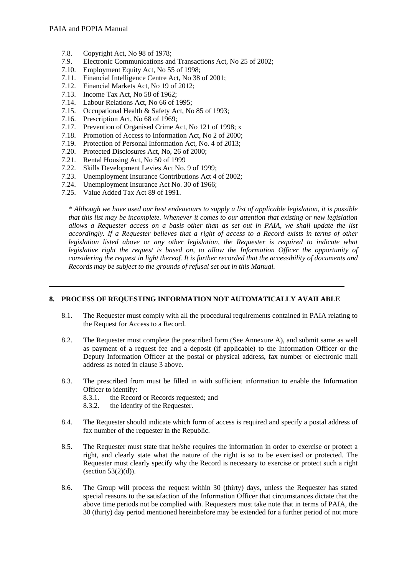- 7.8. Copyright Act, No 98 of 1978;
- 7.9. Electronic Communications and Transactions Act, No 25 of 2002;
- 7.10. Employment Equity Act, No 55 of 1998;
- 7.11. Financial Intelligence Centre Act, No 38 of 2001;
- 7.12. Financial Markets Act, No 19 of 2012;
- 7.13. Income Tax Act, No 58 of 1962;
- 7.14. Labour Relations Act, No 66 of 1995;
- 7.15. Occupational Health & Safety Act, No 85 of 1993;
- 7.16. Prescription Act, No 68 of 1969;
- 7.17. Prevention of Organised Crime Act, No 121 of 1998; x
- 7.18. Promotion of Access to Information Act, No 2 of 2000;
- 7.19. Protection of Personal Information Act, No. 4 of 2013;
- 7.20. Protected Disclosures Act, No, 26 of 2000;
- 7.21. Rental Housing Act, No 50 of 1999
- 7.22. Skills Development Levies Act No. 9 of 1999;
- 7.23. Unemployment Insurance Contributions Act 4 of 2002;
- 7.24. Unemployment Insurance Act No. 30 of 1966;
- 7.25. Value Added Tax Act 89 of 1991.

*\* Although we have used our best endeavours to supply a list of applicable legislation, it is possible that this list may be incomplete. Whenever it comes to our attention that existing or new legislation allows a Requester access on a basis other than as set out in PAIA, we shall update the list accordingly. If a Requester believes that a right of access to a Record exists in terms of other legislation listed above or any other legislation, the Requester is required to indicate what legislative right the request is based on, to allow the Information Officer the opportunity of considering the request in light thereof. It is further recorded that the accessibility of documents and Records may be subject to the grounds of refusal set out in this Manual.*

#### <span id="page-6-0"></span>**8. PROCESS OF REQUESTING INFORMATION NOT AUTOMATICALLY AVAILABLE**

- 8.1. The Requester must comply with all the procedural requirements contained in PAIA relating to the Request for Access to a Record.
- 8.2. The Requester must complete the prescribed form (See Annexure A), and submit same as well as payment of a request fee and a deposit (if applicable) to the Information Officer or the Deputy Information Officer at the postal or physical address, fax number or electronic mail address as noted in claus[e 3](#page-2-1) above.
- 8.3. The prescribed from must be filled in with sufficient information to enable the Information Officer to identify:<br>8.3.1. the Recor
	- the Record or Records requested; and
	- 8.3.2. the identity of the Requester.
- 8.4. The Requester should indicate which form of access is required and specify a postal address of fax number of the requester in the Republic.
- 8.5. The Requester must state that he/she requires the information in order to exercise or protect a right, and clearly state what the nature of the right is so to be exercised or protected. The Requester must clearly specify why the Record is necessary to exercise or protect such a right (section  $53(2)(d)$ ).
- 8.6. The Group will process the request within 30 (thirty) days, unless the Requester has stated special reasons to the satisfaction of the Information Officer that circumstances dictate that the above time periods not be complied with. Requesters must take note that in terms of PAIA, the 30 (thirty) day period mentioned hereinbefore may be extended for a further period of not more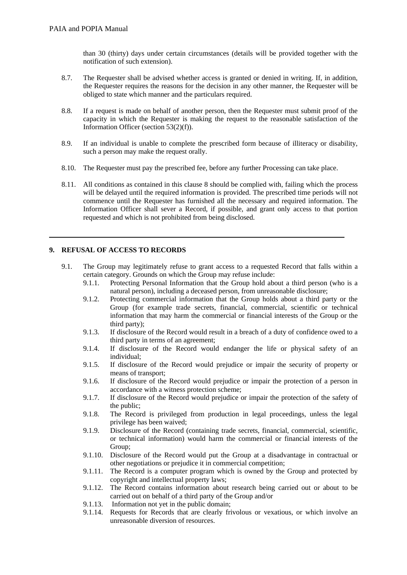than 30 (thirty) days under certain circumstances (details will be provided together with the notification of such extension).

- 8.7. The Requester shall be advised whether access is granted or denied in writing. If, in addition, the Requester requires the reasons for the decision in any other manner, the Requester will be obliged to state which manner and the particulars required.
- 8.8. If a request is made on behalf of another person, then the Requester must submit proof of the capacity in which the Requester is making the request to the reasonable satisfaction of the Information Officer (section 53(2)(f)).
- 8.9. If an individual is unable to complete the prescribed form because of illiteracy or disability, such a person may make the request orally.
- 8.10. The Requester must pay the prescribed fee, before any further Processing can take place.
- 8.11. All conditions as contained in this clause [8](#page-6-0) should be complied with, failing which the process will be delayed until the required information is provided. The prescribed time periods will not commence until the Requester has furnished all the necessary and required information. The Information Officer shall sever a Record, if possible, and grant only access to that portion requested and which is not prohibited from being disclosed.

#### **9. REFUSAL OF ACCESS TO RECORDS**

- 9.1. The Group may legitimately refuse to grant access to a requested Record that falls within a certain category. Grounds on which the Group may refuse include:
	- 9.1.1. Protecting Personal Information that the Group hold about a third person (who is a natural person), including a deceased person, from unreasonable disclosure;
	- 9.1.2. Protecting commercial information that the Group holds about a third party or the Group (for example trade secrets, financial, commercial, scientific or technical information that may harm the commercial or financial interests of the Group or the third party);
	- 9.1.3. If disclosure of the Record would result in a breach of a duty of confidence owed to a third party in terms of an agreement;
	- 9.1.4. If disclosure of the Record would endanger the life or physical safety of an individual;
	- 9.1.5. If disclosure of the Record would prejudice or impair the security of property or means of transport;
	- 9.1.6. If disclosure of the Record would prejudice or impair the protection of a person in accordance with a witness protection scheme;
	- 9.1.7. If disclosure of the Record would prejudice or impair the protection of the safety of the public;
	- 9.1.8. The Record is privileged from production in legal proceedings, unless the legal privilege has been waived;
	- 9.1.9. Disclosure of the Record (containing trade secrets, financial, commercial, scientific, or technical information) would harm the commercial or financial interests of the Group;
	- 9.1.10. Disclosure of the Record would put the Group at a disadvantage in contractual or other negotiations or prejudice it in commercial competition;
	- 9.1.11. The Record is a computer program which is owned by the Group and protected by copyright and intellectual property laws;
	- 9.1.12. The Record contains information about research being carried out or about to be carried out on behalf of a third party of the Group and/or
	- 9.1.13. Information not yet in the public domain;
	- 9.1.14. Requests for Records that are clearly frivolous or vexatious, or which involve an unreasonable diversion of resources.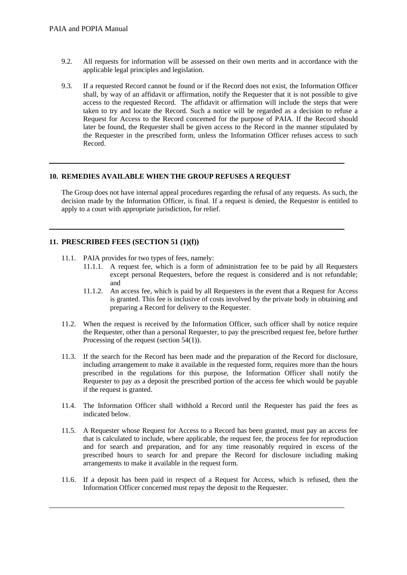- 9.2. All requests for information will be assessed on their own merits and in accordance with the applicable legal principles and legislation.
- 9.3. If a requested Record cannot be found or if the Record does not exist, the Information Officer shall, by way of an affidavit or affirmation, notify the Requester that it is not possible to give access to the requested Record. The affidavit or affirmation will include the steps that were taken to try and locate the Record. Such a notice will be regarded as a decision to refuse a Request for Access to the Record concerned for the purpose of PAIA. If the Record should later be found, the Requester shall be given access to the Record in the manner stipulated by the Requester in the prescribed form, unless the Information Officer refuses access to such Record.

#### **10. REMEDIES AVAILABLE WHEN THE GROUP REFUSES A REQUEST**

The Group does not have internal appeal procedures regarding the refusal of any requests. As such, the decision made by the Information Officer, is final. If a request is denied, the Requestor is entitled to apply to a court with appropriate jurisdiction, for relief.

#### **11. PRESCRIBED FEES (SECTION 51 (1)(f))**

- 11.1. PAIA provides for two types of fees, namely:
	- 11.1.1. A request fee, which is a form of administration fee to be paid by all Requesters except personal Requesters, before the request is considered and is not refundable; and
	- 11.1.2. An access fee, which is paid by all Requesters in the event that a Request for Access is granted. This fee is inclusive of costs involved by the private body in obtaining and preparing a Record for delivery to the Requester.
- 11.2. When the request is received by the Information Officer, such officer shall by notice require the Requester, other than a personal Requester, to pay the prescribed request fee, before further Processing of the request (section 54(1)).
- 11.3. If the search for the Record has been made and the preparation of the Record for disclosure, including arrangement to make it available in the requested form, requires more than the hours prescribed in the regulations for this purpose, the Information Officer shall notify the Requester to pay as a deposit the prescribed portion of the access fee which would be payable if the request is granted.
- 11.4. The Information Officer shall withhold a Record until the Requester has paid the fees as indicated below.
- 11.5. A Requester whose Request for Access to a Record has been granted, must pay an access fee that is calculated to include, where applicable, the request fee, the process fee for reproduction and for search and preparation, and for any time reasonably required in excess of the prescribed hours to search for and prepare the Record for disclosure including making arrangements to make it available in the request form.
- 11.6. If a deposit has been paid in respect of a Request for Access, which is refused, then the Information Officer concerned must repay the deposit to the Requester.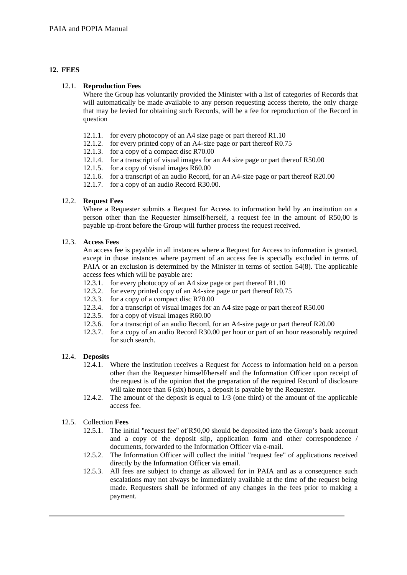#### <span id="page-9-0"></span>**12. FEES**

#### 12.1. **Reproduction Fees**

Where the Group has voluntarily provided the Minister with a list of categories of Records that will automatically be made available to any person requesting access thereto, the only charge that may be levied for obtaining such Records, will be a fee for reproduction of the Record in question

- 12.1.1. for every photocopy of an A4 size page or part thereof R1.10
- 12.1.2. for every printed copy of an A4-size page or part thereof R0.75
- 12.1.3. for a copy of a compact disc R70.00
- 12.1.4. for a transcript of visual images for an A4 size page or part thereof R50.00
- 12.1.5. for a copy of visual images R60.00
- 12.1.6. for a transcript of an audio Record, for an A4-size page or part thereof R20.00
- 12.1.7. for a copy of an audio Record R30.00.

#### 12.2. **Request Fees**

Where a Requester submits a Request for Access to information held by an institution on a person other than the Requester himself/herself, a request fee in the amount of R50,00 is payable up-front before the Group will further process the request received.

#### 12.3. **Access Fees**

An access fee is payable in all instances where a Request for Access to information is granted, except in those instances where payment of an access fee is specially excluded in terms of PAIA or an exclusion is determined by the Minister in terms of section 54(8). The applicable access fees which will be payable are:

- 12.3.1. for every photocopy of an A4 size page or part thereof R1.10
- 12.3.2. for every printed copy of an A4-size page or part thereof R0.75
- 12.3.3. for a copy of a compact disc R70.00
- 12.3.4. for a transcript of visual images for an A4 size page or part thereof R50.00
- 12.3.5. for a copy of visual images R60.00
- 12.3.6. for a transcript of an audio Record, for an A4-size page or part thereof R20.00
- 12.3.7. for a copy of an audio Record R30.00 per hour or part of an hour reasonably required for such search.

#### 12.4. **Deposits**

- 12.4.1. Where the institution receives a Request for Access to information held on a person other than the Requester himself/herself and the Information Officer upon receipt of the request is of the opinion that the preparation of the required Record of disclosure will take more than 6 (six) hours, a deposit is payable by the Requester.
- 12.4.2. The amount of the deposit is equal to 1/3 (one third) of the amount of the applicable access fee.

#### 12.5. Collection **Fees**

- 12.5.1. The initial "request fee" of R50,00 should be deposited into the Group's bank account and a copy of the deposit slip, application form and other correspondence / documents, forwarded to the Information Officer via e-mail.
- 12.5.2. The Information Officer will collect the initial "request fee" of applications received directly by the Information Officer via email.
- 12.5.3. All fees are subject to change as allowed for in PAIA and as a consequence such escalations may not always be immediately available at the time of the request being made. Requesters shall be informed of any changes in the fees prior to making a payment.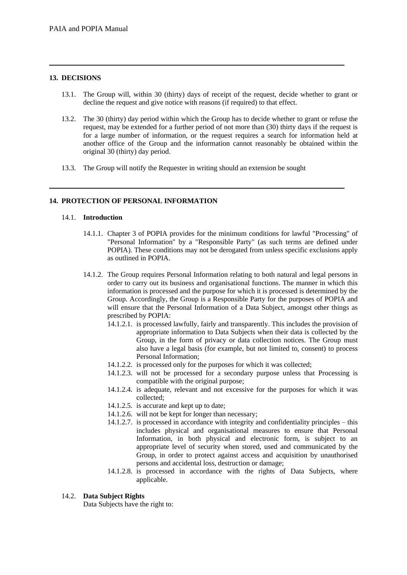#### **13. DECISIONS**

- 13.1. The Group will, within 30 (thirty) days of receipt of the request, decide whether to grant or decline the request and give notice with reasons (if required) to that effect.
- 13.2. The 30 (thirty) day period within which the Group has to decide whether to grant or refuse the request, may be extended for a further period of not more than (30) thirty days if the request is for a large number of information, or the request requires a search for information held at another office of the Group and the information cannot reasonably be obtained within the original 30 (thirty) day period.
- 13.3. The Group will notify the Requester in writing should an extension be sought

#### **14. PROTECTION OF PERSONAL INFORMATION**

#### 14.1. **Introduction**

- 14.1.1. Chapter 3 of POPIA provides for the minimum conditions for lawful "Processing" of "Personal Information" by a "Responsible Party" (as such terms are defined under POPIA). These conditions may not be derogated from unless specific exclusions apply as outlined in POPIA.
- 14.1.2. The Group requires Personal Information relating to both natural and legal persons in order to carry out its business and organisational functions. The manner in which this information is processed and the purpose for which it is processed is determined by the Group. Accordingly, the Group is a Responsible Party for the purposes of POPIA and will ensure that the Personal Information of a Data Subject, amongst other things as prescribed by POPIA:
	- 14.1.2.1. is processed lawfully, fairly and transparently. This includes the provision of appropriate information to Data Subjects when their data is collected by the Group, in the form of privacy or data collection notices. The Group must also have a legal basis (for example, but not limited to, consent) to process Personal Information;
	- 14.1.2.2. is processed only for the purposes for which it was collected;
	- 14.1.2.3. will not be processed for a secondary purpose unless that Processing is compatible with the original purpose;
	- 14.1.2.4. is adequate, relevant and not excessive for the purposes for which it was collected;
	- 14.1.2.5. is accurate and kept up to date;
	- 14.1.2.6. will not be kept for longer than necessary;
	- 14.1.2.7. is processed in accordance with integrity and confidentiality principles this includes physical and organisational measures to ensure that Personal Information, in both physical and electronic form, is subject to an appropriate level of security when stored, used and communicated by the Group, in order to protect against access and acquisition by unauthorised persons and accidental loss, destruction or damage;
	- 14.1.2.8. is processed in accordance with the rights of Data Subjects, where applicable.

#### 14.2. **Data Subject Rights**

Data Subjects have the right to: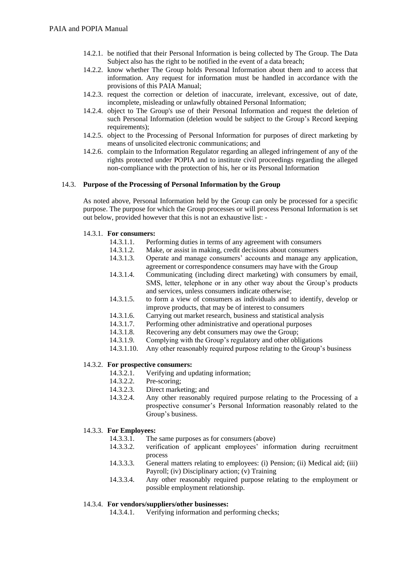- 14.2.1. be notified that their Personal Information is being collected by The Group. The Data Subject also has the right to be notified in the event of a data breach;
- 14.2.2. know whether The Group holds Personal Information about them and to access that information. Any request for information must be handled in accordance with the provisions of this PAIA Manual;
- 14.2.3. request the correction or deletion of inaccurate, irrelevant, excessive, out of date, incomplete, misleading or unlawfully obtained Personal Information;
- 14.2.4. object to The Group's use of their Personal Information and request the deletion of such Personal Information (deletion would be subject to the Group's Record keeping requirements);
- 14.2.5. object to the Processing of Personal Information for purposes of direct marketing by means of unsolicited electronic communications; and
- 14.2.6. complain to the Information Regulator regarding an alleged infringement of any of the rights protected under POPIA and to institute civil proceedings regarding the alleged non-compliance with the protection of his, her or its Personal Information

#### 14.3. **Purpose of the Processing of Personal Information by the Group**

As noted above, Personal Information held by the Group can only be processed for a specific purpose. The purpose for which the Group processes or will process Personal Information is set out below, provided however that this is not an exhaustive list: -

#### 14.3.1. **For consumers:**

- 14.3.1.1. Performing duties in terms of any agreement with consumers
- 14.3.1.2. Make, or assist in making, credit decisions about consumers
- 14.3.1.3. Operate and manage consumers' accounts and manage any application, agreement or correspondence consumers may have with the Group
- 14.3.1.4. Communicating (including direct marketing) with consumers by email, SMS, letter, telephone or in any other way about the Group's products and services, unless consumers indicate otherwise;
- 14.3.1.5. to form a view of consumers as individuals and to identify, develop or improve products, that may be of interest to consumers
- 14.3.1.6. Carrying out market research, business and statistical analysis
- 14.3.1.7. Performing other administrative and operational purposes
- 14.3.1.8. Recovering any debt consumers may owe the Group;
- 14.3.1.9. Complying with the Group's regulatory and other obligations
- 14.3.1.10. Any other reasonably required purpose relating to the Group's business

#### 14.3.2. **For prospective consumers:**

- 14.3.2.1. Verifying and updating information;
- 14.3.2.2. Pre-scoring;
- 14.3.2.3. Direct marketing; and
- 14.3.2.4. Any other reasonably required purpose relating to the Processing of a prospective consumer's Personal Information reasonably related to the Group's business.

#### 14.3.3. **For Employees:**

- 14.3.3.1. The same purposes as for consumers (above)
- 14.3.3.2. verification of applicant employees' information during recruitment process
- 14.3.3.3. General matters relating to employees: (i) Pension; (ii) Medical aid; (iii) Payroll; (iv) Disciplinary action; (v) Training
- 14.3.3.4. Any other reasonably required purpose relating to the employment or possible employment relationship.

#### 14.3.4. **For vendors/suppliers/other businesses:**

14.3.4.1. Verifying information and performing checks;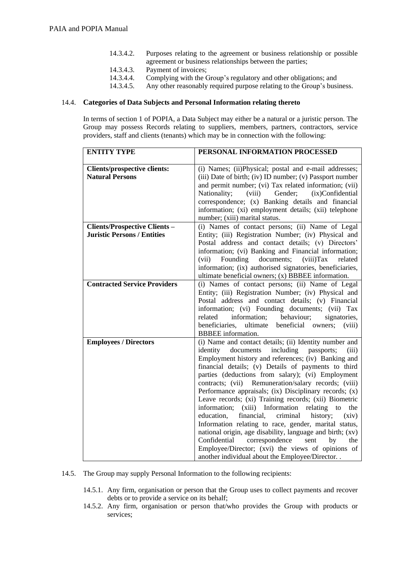- 14.3.4.2. Purposes relating to the agreement or business relationship or possible agreement or business relationships between the parties;
- 14.3.4.3. Payment of invoices;
- 14.3.4.4. Complying with the Group's regulatory and other obligations; and
- 14.3.4.5. Any other reasonably required purpose relating to the Group's business.

#### 14.4. **Categories of Data Subjects and Personal Information relating thereto**

In terms of section 1 of POPIA, a Data Subject may either be a natural or a juristic person. The Group may possess Records relating to suppliers, members, partners, contractors, service providers, staff and clients (tenants) which may be in connection with the following:

| <b>ENTITY TYPE</b>                                            | PERSONAL INFORMATION PROCESSED                                                                                                                                                                                                                                                                                                                                                                                                                                                                                                                                                                                                                                                                                                                                                                                                                                                    |  |  |  |
|---------------------------------------------------------------|-----------------------------------------------------------------------------------------------------------------------------------------------------------------------------------------------------------------------------------------------------------------------------------------------------------------------------------------------------------------------------------------------------------------------------------------------------------------------------------------------------------------------------------------------------------------------------------------------------------------------------------------------------------------------------------------------------------------------------------------------------------------------------------------------------------------------------------------------------------------------------------|--|--|--|
|                                                               |                                                                                                                                                                                                                                                                                                                                                                                                                                                                                                                                                                                                                                                                                                                                                                                                                                                                                   |  |  |  |
| <b>Clients/prospective clients:</b><br><b>Natural Persons</b> | (i) Names; (ii)Physical; postal and e-mail addresses;<br>(iii) Date of birth; (iv) ID number; (v) Passport number<br>and permit number; (vi) Tax related information; (vii)<br>Nationality;<br>(viii)<br>Gender;<br>(ix)Confidential<br>correspondence; (x) Banking details and financial<br>information; (xi) employment details; (xii) telephone<br>number; (xiii) marital status.                                                                                                                                                                                                                                                                                                                                                                                                                                                                                              |  |  |  |
| <b>Clients/Prospective Clients-</b>                           | (i) Names of contact persons; (ii) Name of Legal                                                                                                                                                                                                                                                                                                                                                                                                                                                                                                                                                                                                                                                                                                                                                                                                                                  |  |  |  |
| <b>Juristic Persons / Entities</b>                            | Entity; (iii) Registration Number; (iv) Physical and<br>Postal address and contact details; (v) Directors'<br>information; (vi) Banking and Financial information;<br>documents;<br>(vii)<br>Founding<br>(viii) Tax<br>related<br>information; (ix) authorised signatories, beneficiaries,<br>ultimate beneficial owners; (x) BBBEE information.                                                                                                                                                                                                                                                                                                                                                                                                                                                                                                                                  |  |  |  |
| <b>Contracted Service Providers</b>                           | (i) Names of contact persons; (ii) Name of Legal<br>Entity; (iii) Registration Number; (iv) Physical and<br>Postal address and contact details; (v) Financial<br>information; (vi) Founding documents; (vii) Tax<br>behaviour;<br>related<br>information;<br>signatories,<br>beneficiaries,<br>ultimate<br>beneficial<br>owners;<br>(viii)<br><b>BBBEE</b> information.                                                                                                                                                                                                                                                                                                                                                                                                                                                                                                           |  |  |  |
| <b>Employees / Directors</b>                                  | (i) Name and contact details; (ii) Identity number and<br>including<br>identity<br>documents<br>passports;<br>(iii)<br>Employment history and references; (iv) Banking and<br>financial details; (v) Details of payments to third<br>parties (deductions from salary); (vi) Employment<br>contracts; (vii) Remuneration/salary records; (viii)<br>Performance appraisals; (ix) Disciplinary records; (x)<br>Leave records; (xi) Training records; (xii) Biometric<br>(xiii) Information<br>relating to<br>information;<br>the<br>education,<br>financial,<br>criminal<br>history;<br>(xiv)<br>Information relating to race, gender, marital status,<br>national origin, age disability, language and birth; (xv)<br>correspondence<br>Confidential<br>sent<br>by<br>the<br>Employee/Director; (xvi) the views of opinions of<br>another individual about the Employee/Director. . |  |  |  |

14.5. The Group may supply Personal Information to the following recipients:

- 14.5.1. Any firm, organisation or person that the Group uses to collect payments and recover debts or to provide a service on its behalf:
- 14.5.2. Any firm, organisation or person that/who provides the Group with products or services;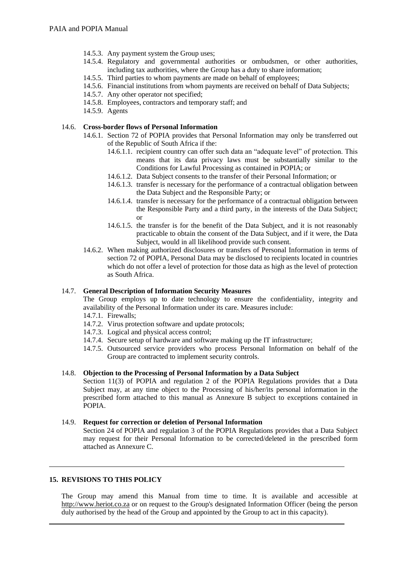- 14.5.3. Any payment system the Group uses;
- 14.5.4. Regulatory and governmental authorities or ombudsmen, or other authorities, including tax authorities, where the Group has a duty to share information;
- 14.5.5. Third parties to whom payments are made on behalf of employees;
- 14.5.6. Financial institutions from whom payments are received on behalf of Data Subjects;
- 14.5.7. Any other operator not specified;
- 14.5.8. Employees, contractors and temporary staff; and
- 14.5.9. Agents

#### 14.6. **Cross-border flows of Personal Information**

- 14.6.1. Section 72 of POPIA provides that Personal Information may only be transferred out of the Republic of South Africa if the:
	- 14.6.1.1. recipient country can offer such data an "adequate level" of protection. This means that its data privacy laws must be substantially similar to the Conditions for Lawful Processing as contained in POPIA; or
	- 14.6.1.2. Data Subject consents to the transfer of their Personal Information; or
	- 14.6.1.3. transfer is necessary for the performance of a contractual obligation between the Data Subject and the Responsible Party; or
	- 14.6.1.4. transfer is necessary for the performance of a contractual obligation between the Responsible Party and a third party, in the interests of the Data Subject; or
	- 14.6.1.5. the transfer is for the benefit of the Data Subject, and it is not reasonably practicable to obtain the consent of the Data Subject, and if it were, the Data Subject, would in all likelihood provide such consent.
- 14.6.2. When making authorized disclosures or transfers of Personal Information in terms of section 72 of POPIA, Personal Data may be disclosed to recipients located in countries which do not offer a level of protection for those data as high as the level of protection as South Africa.

#### 14.7. **General Description of Information Security Measures**

The Group employs up to date technology to ensure the confidentiality, integrity and availability of the Personal Information under its care. Measures include:

- 14.7.1. Firewalls;
- 14.7.2. Virus protection software and update protocols;
- 14.7.3. Logical and physical access control;
- 14.7.4. Secure setup of hardware and software making up the IT infrastructure;
- 14.7.5. Outsourced service providers who process Personal Information on behalf of the Group are contracted to implement security controls.

#### 14.8. **Objection to the Processing of Personal Information by a Data Subject**

Section 11(3) of POPIA and regulation 2 of the POPIA Regulations provides that a Data Subject may, at any time object to the Processing of his/her/its personal information in the prescribed form attached to this manual as Annexure B subject to exceptions contained in POPIA.

#### 14.9. **Request for correction or deletion of Personal Information**

Section 24 of POPIA and regulation 3 of the POPIA Regulations provides that a Data Subject may request for their Personal Information to be corrected/deleted in the prescribed form attached as Annexure C.

#### **15. REVISIONS TO THIS POLICY**

The Group may amend this Manual from time to time. It is available and accessible at [http://www.heriot.co.za](http://www.heriot.co.za/) or on request to the Group's designated Information Officer (being the person duly authorised by the head of the Group and appointed by the Group to act in this capacity).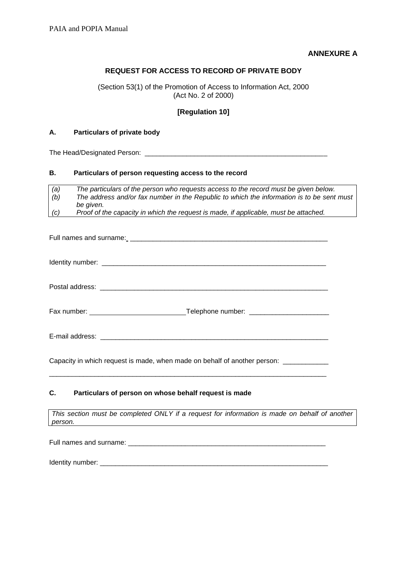#### **ANNEXURE A**

#### **REQUEST FOR ACCESS TO RECORD OF PRIVATE BODY**

(Section 53(1) of the Promotion of Access to Information Act, 2000 (Act No. 2 of 2000)

#### **[Regulation 10]**

#### **A. Particulars of private body**

The Head/Designated Person: \_\_\_\_\_\_\_\_\_\_\_\_\_\_\_\_\_\_\_\_\_\_\_\_\_\_\_\_\_\_\_\_\_\_\_\_\_\_\_\_\_\_\_\_\_\_\_\_

#### **B. Particulars of person requesting access to the record**

| (a) | The particulars of the person who requests access to the record must be given below.      |
|-----|-------------------------------------------------------------------------------------------|
| (b) | The address and/or fax number in the Republic to which the information is to be sent must |
|     | be aiven.                                                                                 |
| (c) | Proof of the capacity in which the request is made, if applicable, must be attached.      |

| _Telephone number: __________________________ |
|-----------------------------------------------|
|                                               |

Capacity in which request is made, when made on behalf of another person: \_\_\_\_\_\_\_

\_\_\_\_\_\_\_\_\_\_\_\_\_\_\_\_\_\_\_\_\_\_\_\_\_\_\_\_\_\_\_\_\_\_\_\_\_\_\_\_\_\_\_\_\_\_\_\_\_\_\_\_\_\_\_\_\_\_\_\_\_\_\_\_\_\_\_\_\_\_\_\_\_

#### **C. Particulars of person on whose behalf request is made**

*This section must be completed ONLY if a request for information is made on behalf of another person.*

Full names and surname:  $\Box$ 

Identity number: \_\_\_\_\_\_\_\_\_\_\_\_\_\_\_\_\_\_\_\_\_\_\_\_\_\_\_\_\_\_\_\_\_\_\_\_\_\_\_\_\_\_\_\_\_\_\_\_\_\_\_\_\_\_\_\_\_\_\_\_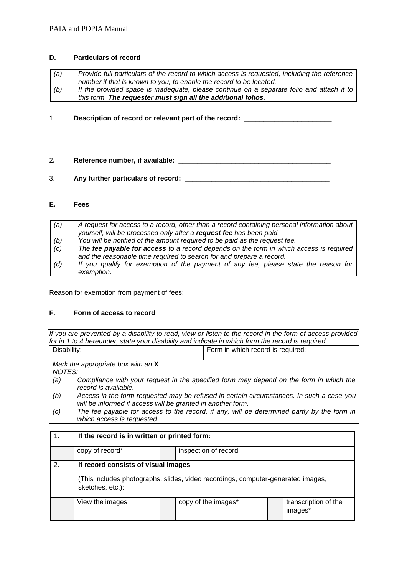#### **D. Particulars of record**

- *(a) Provide full particulars of the record to which access is requested, including the reference number if that is known to you, to enable the record to be located. (b) If the provided space is inadequate, please continue on a separate folio and attach it to*
- *this form. The requester must sign all the additional folios.*

 $\_$  ,  $\_$  ,  $\_$  ,  $\_$  ,  $\_$  ,  $\_$  ,  $\_$  ,  $\_$  ,  $\_$  ,  $\_$  ,  $\_$  ,  $\_$  ,  $\_$  ,  $\_$  ,  $\_$  ,  $\_$  ,  $\_$  ,  $\_$  ,  $\_$  ,  $\_$  ,  $\_$  ,  $\_$  ,  $\_$  ,  $\_$  ,  $\_$  ,  $\_$  ,  $\_$  ,  $\_$  ,  $\_$  ,  $\_$  ,  $\_$  ,  $\_$  ,  $\_$  ,  $\_$  ,  $\_$  ,  $\_$  ,  $\_$  ,

1. **Description of record or relevant part of the record:** \_\_\_\_\_\_\_\_\_\_\_\_\_\_\_\_\_\_\_\_\_\_\_

2**. Reference number, if available:** \_\_\_\_\_\_\_\_\_\_\_\_\_\_\_\_\_\_\_\_\_\_\_\_\_\_\_\_\_\_\_\_\_\_\_\_\_\_\_\_

3. **Any further particulars of record:** \_\_\_\_\_\_\_\_\_\_\_\_\_\_\_\_\_\_\_\_\_\_\_\_\_\_\_\_\_\_\_\_\_\_\_\_\_\_

#### **E. Fees**

| (a) | A request for access to a record, other than a record containing personal information about |
|-----|---------------------------------------------------------------------------------------------|
|     | yourself, will be processed only after a request fee has been paid.                         |
| (b) | You will be notified of the amount required to be paid as the request fee.                  |
| (c) | The fee payable for access to a record depends on the form in which access is required      |
|     | and the reasonable time required to search for and prepare a record.                        |
| (d) | If you qualify for exemption of the payment of any fee, please state the reason for         |
|     | exemption.                                                                                  |

Reason for exemption from payment of fees: \_\_\_\_\_\_\_\_\_\_\_\_\_\_\_\_\_\_\_\_\_\_\_\_\_\_\_\_\_\_\_\_\_\_\_\_\_

#### **F. Form of access to record**

*If you are prevented by a disability to read, view or listen to the record in the form of access provided for in 1 to 4 hereunder, state your disability and indicate in which form the record is required.* Disability: \_\_\_\_\_\_\_\_\_\_\_\_\_\_\_\_\_\_\_\_\_\_\_\_\_\_ Form in which record is required: \_\_\_\_\_\_\_\_

*Mark the appropriate box with an* **X***.*

*NOTES:*

- *(a) Compliance with your request in the specified form may depend on the form in which the record is available.*
- *(b) Access in the form requested may be refused in certain circumstances. In such a case you will be informed if access will be granted in another form.*
- *(c) The fee payable for access to the record, if any, will be determined partly by the form in which access is requested.*

#### 1**. If the record is in written or printed form:**

|              | copy of record*                                                                                      |  | inspection of record |  |                                 |  |  |  |
|--------------|------------------------------------------------------------------------------------------------------|--|----------------------|--|---------------------------------|--|--|--|
| $\mathbf{2}$ | If record consists of visual images                                                                  |  |                      |  |                                 |  |  |  |
|              | (This includes photographs, slides, video recordings, computer-generated images,<br>sketches, etc.): |  |                      |  |                                 |  |  |  |
|              | View the images                                                                                      |  | copy of the images*  |  | transcription of the<br>images* |  |  |  |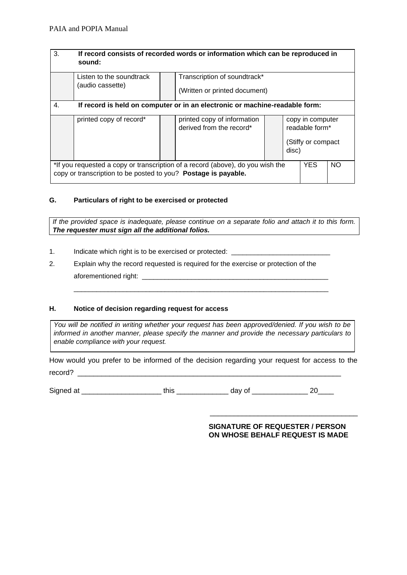| 3.                                                                                                                                               | If record consists of recorded words or information which can be reproduced in<br>sound: |  |                                                               |  |            |                                                          |  |  |
|--------------------------------------------------------------------------------------------------------------------------------------------------|------------------------------------------------------------------------------------------|--|---------------------------------------------------------------|--|------------|----------------------------------------------------------|--|--|
|                                                                                                                                                  | Listen to the soundtrack<br>(audio cassette)                                             |  | Transcription of soundtrack*<br>(Written or printed document) |  |            |                                                          |  |  |
| 4.                                                                                                                                               | If record is held on computer or in an electronic or machine-readable form:              |  |                                                               |  |            |                                                          |  |  |
|                                                                                                                                                  | printed copy of record*                                                                  |  | printed copy of information<br>derived from the record*       |  | disc)      | copy in computer<br>readable form*<br>(Stiffy or compact |  |  |
| *If you requested a copy or transcription of a record (above), do you wish the<br>copy or transcription to be posted to you? Postage is payable. |                                                                                          |  |                                                               |  | <b>YES</b> | <b>NO</b>                                                |  |  |

#### **G. Particulars of right to be exercised or protected**

*If the provided space is inadequate, please continue on a separate folio and attach it to this form. The requester must sign all the additional folios.*

- 1. Indicate which right is to be exercised or protected: \_\_\_\_\_\_\_\_\_\_\_\_\_\_\_\_\_\_\_\_\_\_\_
- 2. Explain why the record requested is required for the exercise or protection of the aforementioned right: \_\_\_\_\_\_\_\_\_\_\_\_\_\_\_\_\_\_\_\_\_\_\_\_\_\_\_\_\_\_\_\_\_\_\_\_\_\_\_\_\_\_\_\_\_\_\_\_\_

#### **H. Notice of decision regarding request for access**

*You will be notified in writing whether your request has been approved/denied. If you wish to be informed in another manner, please specify the manner and provide the necessary particulars to enable compliance with your request.*

\_\_\_\_\_\_\_\_\_\_\_\_\_\_\_\_\_\_\_\_\_\_\_\_\_\_\_\_\_\_\_\_\_\_\_\_\_\_\_\_\_\_\_\_\_\_\_\_\_\_\_\_\_\_\_\_\_\_\_\_\_\_\_\_\_\_\_

How would you prefer to be informed of the decision regarding your request for access to the record? \_\_\_\_\_\_\_\_\_\_\_\_\_\_\_\_\_\_\_\_\_\_\_\_\_\_\_\_\_\_\_\_\_\_\_\_\_\_\_\_\_\_\_\_\_\_\_\_\_\_\_\_\_\_\_\_\_\_\_\_\_\_\_\_\_\_

Signed at this this this day of the 20

#### **SIGNATURE OF REQUESTER / PERSON ON WHOSE BEHALF REQUEST IS MADE**

\_\_\_\_\_\_\_\_\_\_\_\_\_\_\_\_\_\_\_\_\_\_\_\_\_\_\_\_\_\_\_\_\_\_\_\_\_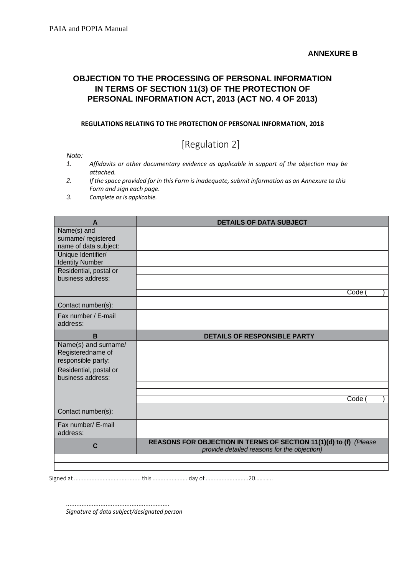## **OBJECTION TO THE PROCESSING OF PERSONAL INFORMATION IN TERMS OF SECTION 11(3) OF THE PROTECTION OF PERSONAL INFORMATION ACT, 2013 (ACT NO. 4 OF 2013)**

#### **REGULATIONS RELATING TO THE PROTECTION OF PERSONAL INFORMATION, 2018**

# [Regulation 2]

*Note:*

- *1. Affidavits or other documentary evidence as applicable in support of the objection may be attached.*
- *2. If the space provided for in this Form is inadequate, submit information as an Annexure to this Form and sign each page.*
- *3. Complete as is applicable.*

| $\mathsf{A}$                                 | <b>DETAILS OF DATA SUBJECT</b>                                                                                   |
|----------------------------------------------|------------------------------------------------------------------------------------------------------------------|
| Name(s) and                                  |                                                                                                                  |
| surname/ registered                          |                                                                                                                  |
| name of data subject:                        |                                                                                                                  |
| Unique Identifier/<br><b>Identity Number</b> |                                                                                                                  |
| Residential, postal or                       |                                                                                                                  |
| business address:                            |                                                                                                                  |
|                                              |                                                                                                                  |
|                                              | Code                                                                                                             |
| Contact number(s):                           |                                                                                                                  |
| Fax number / E-mail                          |                                                                                                                  |
| address:                                     |                                                                                                                  |
| B                                            | <b>DETAILS OF RESPONSIBLE PARTY</b>                                                                              |
| Name(s) and surname/                         |                                                                                                                  |
| Registeredname of                            |                                                                                                                  |
| responsible party:                           |                                                                                                                  |
| Residential, postal or<br>business address:  |                                                                                                                  |
|                                              |                                                                                                                  |
|                                              |                                                                                                                  |
|                                              | Code                                                                                                             |
| Contact number(s):                           |                                                                                                                  |
| Fax number/ E-mail                           |                                                                                                                  |
| address:                                     |                                                                                                                  |
| C                                            | REASONS FOR OBJECTION IN TERMS OF SECTION 11(1)(d) to (f) (Please<br>provide detailed reasons for the objection) |
|                                              |                                                                                                                  |
|                                              |                                                                                                                  |

Signed at .......................................... this...................... day of ...........................20………...

............................................................ *Signature of data subject/designated person*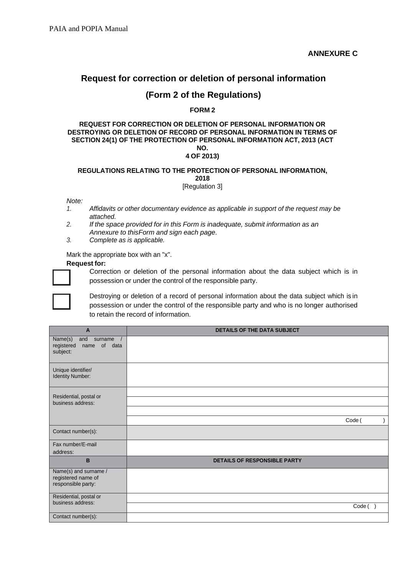# **Request for correction or deletion of personal information**

### **(Form 2 of the Regulations)**

#### **FORM 2**

#### **REQUEST FOR CORRECTION OR DELETION OF PERSONAL INFORMATION OR DESTROYING OR DELETION OF RECORD OF PERSONAL INFORMATION IN TERMS OF SECTION 24(1) OF THE PROTECTION OF PERSONAL INFORMATION ACT, 2013 (ACT NO. 4 OF 2013)**

#### **REGULATIONS RELATING TO THE PROTECTION OF PERSONAL INFORMATION, 2018**

[Regulation 3]

*Note:*

- *1. Affidavits or other documentary evidence as applicable in support of the request may be attached.*
- *2. If the space provided for in this Form is inadequate, submit information as an Annexure to thisForm and sign each page.*
- *3. Complete as is applicable.*

Mark the appropriate box with an "x".

#### **Request for:**



Correction or deletion of the personal information about the data subject which is in possession or under the control of the responsible party.



Destroying or deletion of a record of personal information about the data subject which is in possession or under the control of the responsible party and who is no longer authorised to retain the record of information.

| A                                                                       | <b>DETAILS OF THE DATA SUBJECT</b>  |  |
|-------------------------------------------------------------------------|-------------------------------------|--|
| Name(s)<br>and<br>surname $/$<br>name of data<br>registered<br>subject: |                                     |  |
| Unique identifier/<br>Identity Number:                                  |                                     |  |
| Residential, postal or<br>business address:                             |                                     |  |
|                                                                         | Code (                              |  |
| Contact number(s):                                                      |                                     |  |
| Fax number/E-mail<br>address:                                           |                                     |  |
| B                                                                       | <b>DETAILS OF RESPONSIBLE PARTY</b> |  |
| Name(s) and surname /<br>registered name of<br>responsible party:       |                                     |  |
| Residential, postal or<br>business address:                             | Code()                              |  |
| Contact number(s):                                                      |                                     |  |